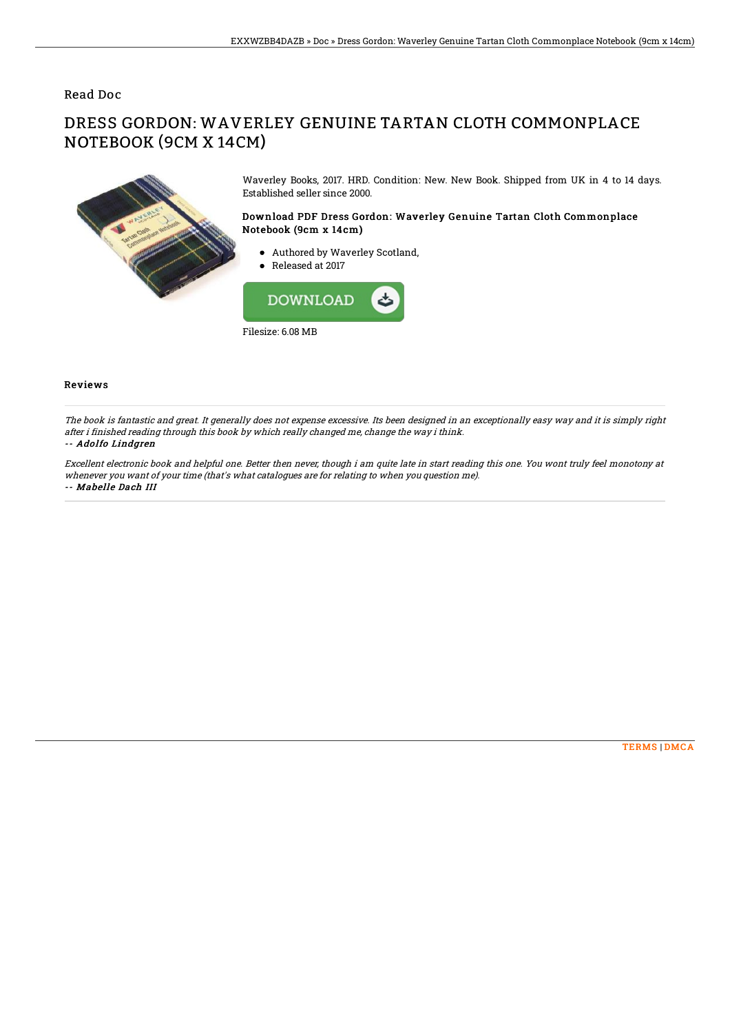### Read Doc

## DRESS GORDON: WAVERLEY GENUINE TARTAN CLOTH COMMONPLACE NOTEBOOK (9CM X 14CM)



Waverley Books, 2017. HRD. Condition: New. New Book. Shipped from UK in 4 to 14 days. Established seller since 2000.

#### Download PDF Dress Gordon: Waverley Genuine Tartan Cloth Commonplace Notebook (9cm x 14cm)

- Authored by Waverley Scotland,
- Released at 2017



#### Reviews

The book is fantastic and great. It generally does not expense excessive. Its been designed in an exceptionally easy way and it is simply right after i finished reading through this book by which really changed me, change the way i think. -- Adolfo Lindgren

# Excellent electronic book and helpful one. Better then never, though i am quite late in start reading this one. You wont truly feel monotony at

whenever you want of your time (that's what catalogues are for relating to when you question me). -- Mabelle Dach III